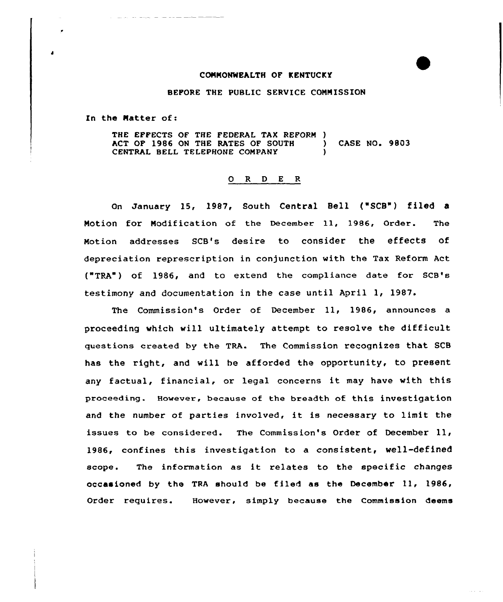## CONNONWEALTH OF KENTUCKY

BEFORE THE PUBLIC SERVICE CONNISSION

In the Natter of:

THE EFFECTS OF THE FEDERAL TAX REFORM )<br>ACT OP 1986 ON THE RATES OF SOUTH ACT OF 1986 ON THE RATES OF SOUTH ) CASE NO. 9803 CENTRAL BELL TELEPHONE COMPANY

## 0 R <sup>D</sup> E R

On January 15, 1987, South Central Bell ("SCB") filed a Notion for Nodification of the December ll, 1986, Order. The Notion addresses SCB's desire to consider the effects of depreciation represcription in conjunction with the Tax Reform Act ("TRA") of 1986, and to extend the compliance date for scB's testimony and documentation in the case until April 1, 1987.

The Commission's Order of December ll, 1986, announces <sup>a</sup> proceeding which will ultimately attempt to resolve the difficult questions created by the TRA. The Commission recognizes that SCB has the right, and will he afforded the opportunity, to present any factual, financial, or legal concerns it may have with this proceeding. However, because of the breadth of this investigation and the number of parties involved, it is necessary to limit the issues to be considered. The Commission's Order of December ll, 1986, confines this investigation to a consistent, well-defined scope. The information as it relates to the specific changes occasioned by the TRA should be filed as the December 11, 1986, Order requires. However, simply because the Commission deems